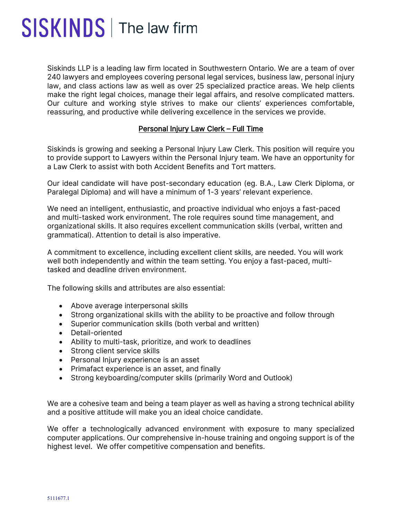## SISKINDS | The law firm

Siskinds LLP is a leading law firm located in Southwestern Ontario. We are a team of over 240 lawyers and employees covering personal legal services, business law, personal injury law, and class actions law as well as over 25 specialized practice areas. We help clients make the right legal choices, manage their legal affairs, and resolve complicated matters. Our culture and working style strives to make our clients' experiences comfortable, reassuring, and productive while delivering excellence in the services we provide.

## Personal Injury Law Clerk – Full Time

Siskinds is growing and seeking a Personal Injury Law Clerk. This position will require you to provide support to Lawyers within the Personal Injury team. We have an opportunity for a Law Clerk to assist with both Accident Benefits and Tort matters.

Our ideal candidate will have post-secondary education (eg. B.A., Law Clerk Diploma, or Paralegal Diploma) and will have a minimum of 1-3 years' relevant experience.

We need an intelligent, enthusiastic, and proactive individual who enjoys a fast-paced and multi-tasked work environment. The role requires sound time management, and organizational skills. It also requires excellent communication skills (verbal, written and grammatical). Attention to detail is also imperative.

A commitment to excellence, including excellent client skills, are needed. You will work well both independently and within the team setting. You enjoy a fast-paced, multitasked and deadline driven environment.

The following skills and attributes are also essential:

- Above average interpersonal skills
- Strong organizational skills with the ability to be proactive and follow through
- Superior communication skills (both verbal and written)
- Detail-oriented
- Ability to multi-task, prioritize, and work to deadlines
- Strong client service skills
- Personal Injury experience is an asset
- Primafact experience is an asset, and finally
- Strong keyboarding/computer skills (primarily Word and Outlook)

We are a cohesive team and being a team player as well as having a strong technical ability and a positive attitude will make you an ideal choice candidate.

We offer a technologically advanced environment with exposure to many specialized computer applications. Our comprehensive in-house training and ongoing support is of the highest level. We offer competitive compensation and benefits.